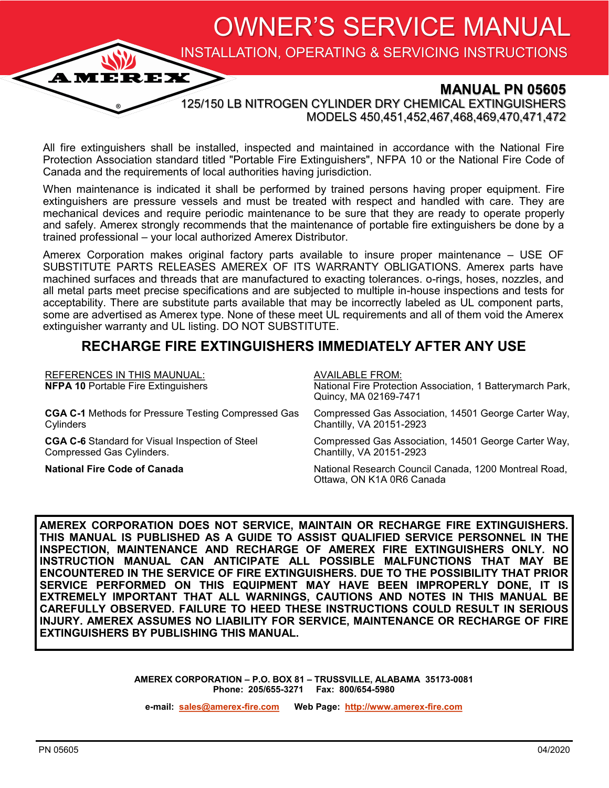OWNER'S SERVICE MANUAL

INSTALLATION, OPERATING & SERVICING INSTRUCTIONS

### **MANUAL PN 05605**

125/150 LB NITROGEN CYLINDER DRY CHEMICAL EXTINGUISHERS MODELS 450,451,452,467,468,469,470,471,472

All fire extinguishers shall be installed, inspected and maintained in accordance with the National Fire Protection Association standard titled "Portable Fire Extinguishers", NFPA 10 or the National Fire Code of Canada and the requirements of local authorities having jurisdiction.

When maintenance is indicated it shall be performed by trained persons having proper equipment. Fire extinguishers are pressure vessels and must be treated with respect and handled with care. They are mechanical devices and require periodic maintenance to be sure that they are ready to operate properly and safely. Amerex strongly recommends that the maintenance of portable fire extinguishers be done by a trained professional – your local authorized Amerex Distributor.

Amerex Corporation makes original factory parts available to insure proper maintenance – USE OF SUBSTITUTE PARTS RELEASES AMEREX OF ITS WARRANTY OBLIGATIONS. Amerex parts have machined surfaces and threads that are manufactured to exacting tolerances. o-rings, hoses, nozzles, and all metal parts meet precise specifications and are subjected to multiple in-house inspections and tests for acceptability. There are substitute parts available that may be incorrectly labeled as UL component parts, some are advertised as Amerex type. None of these meet UL requirements and all of them void the Amerex extinguisher warranty and UL listing. DO NOT SUBSTITUTE.

## **RECHARGE FIRE EXTINGUISHERS IMMEDIATELY AFTER ANY USE**

| <b>REFERENCES IN THIS MAUNUAL:</b><br><b>NFPA 10 Portable Fire Extinguishers</b> | <b>AVAILABLE FROM:</b><br>National Fire Protection Association, 1 Batterymarch Park,<br>Quincy, MA 02169-7471 |
|----------------------------------------------------------------------------------|---------------------------------------------------------------------------------------------------------------|
| <b>CGA C-1</b> Methods for Pressure Testing Compressed Gas                       | Compressed Gas Association, 14501 George Carter Way,                                                          |
| Cylinders                                                                        | Chantilly, VA 20151-2923                                                                                      |
| <b>CGA C-6</b> Standard for Visual Inspection of Steel                           | Compressed Gas Association, 14501 George Carter Way,                                                          |
| Compressed Gas Cylinders.                                                        | Chantilly, VA 20151-2923                                                                                      |
| <b>National Fire Code of Canada</b>                                              | National Research Council Canada, 1200 Montreal Road,<br>Ottawa, ON K1A 0R6 Canada                            |

**AMEREX CORPORATION DOES NOT SERVICE, MAINTAIN OR RECHARGE FIRE EXTINGUISHERS. THIS MANUAL IS PUBLISHED AS A GUIDE TO ASSIST QUALIFIED SERVICE PERSONNEL IN THE INSPECTION, MAINTENANCE AND RECHARGE OF AMEREX FIRE EXTINGUISHERS ONLY. NO INSTRUCTION MANUAL CAN ANTICIPATE ALL POSSIBLE MALFUNCTIONS THAT MAY BE ENCOUNTERED IN THE SERVICE OF FIRE EXTINGUISHERS. DUE TO THE POSSIBILITY THAT PRIOR SERVICE PERFORMED ON THIS EQUIPMENT MAY HAVE BEEN IMPROPERLY DONE, IT IS EXTREMELY IMPORTANT THAT ALL WARNINGS, CAUTIONS AND NOTES IN THIS MANUAL BE CAREFULLY OBSERVED. FAILURE TO HEED THESE INSTRUCTIONS COULD RESULT IN SERIOUS INJURY. AMEREX ASSUMES NO LIABILITY FOR SERVICE, MAINTENANCE OR RECHARGE OF FIRE EXTINGUISHERS BY PUBLISHING THIS MANUAL.**

> **AMEREX CORPORATION – P.O. BOX 81 – TRUSSVILLE, ALABAMA 35173-0081 Phone: 205/655-3271 Fax: 800/654-5980**

**e-mail: [sales@amerex](mailto:sales@amerex-fire.com)-fire.com Web Page: [http://www.amerex](http://www.amerex-fire.com)-fire.com**

**AMEREX**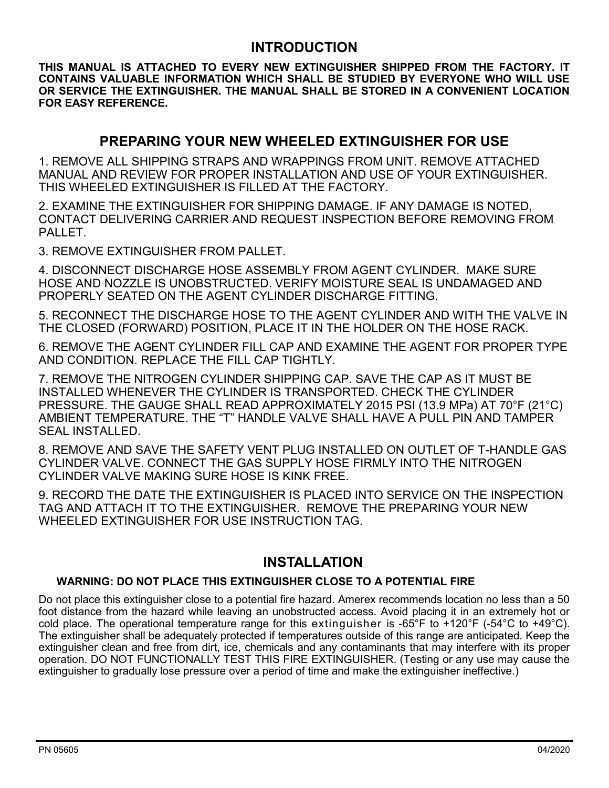## **INTRODUCTION**

**THIS MANUAL IS ATTACHED TO EVERY NEW EXTINGUISHER SHIPPED FROM THE FACTORY. IT CONTAINS VALUABLE INFORMATION WHICH SHALL BE STUDIED BY EVERYONE WHO WILL USE OR SERVICE THE EXTINGUISHER. THE MANUAL SHALL BE STORED IN A CONVENIENT LOCATION FOR EASY REFERENCE.**

## **PREPARING YOUR NEW WHEELED EXTINGUISHER FOR USE**

1. REMOVE ALL SHIPPING STRAPS AND WRAPPINGS FROM UNIT. REMOVE ATTACHED MANUAL AND REVIEW FOR PROPER INSTALLATION AND USE OF YOUR EXTINGUISHER. THIS WHEELED EXTINGUISHER IS FILLED AT THE FACTORY.

2. EXAMINE THE EXTINGUISHER FOR SHIPPING DAMAGE. IF ANY DAMAGE IS NOTED, CONTACT DELIVERING CARRIER AND REQUEST INSPECTION BEFORE REMOVING FROM PALLET.

3. REMOVE EXTINGUISHER FROM PALLET.

4. DISCONNECT DISCHARGE HOSE ASSEMBLY FROM AGENT CYLINDER. MAKE SURE HOSE AND NOZZLE IS UNOBSTRUCTED. VERIFY MOISTURE SEAL IS UNDAMAGED AND PROPERLY SEATED ON THE AGENT CYLINDER DISCHARGE FITTING.

5. RECONNECT THE DISCHARGE HOSE TO THE AGENT CYLINDER AND WITH THE VALVE IN THE CLOSED (FORWARD) POSITION, PLACE IT IN THE HOLDER ON THE HOSE RACK.

6. REMOVE THE AGENT CYLINDER FILL CAP AND EXAMINE THE AGENT FOR PROPER TYPE AND CONDITION. REPLACE THE FILL CAP TIGHTLY.

7. REMOVE THE NITROGEN CYLINDER SHIPPING CAP. SAVE THE CAP AS IT MUST BE INSTALLED WHENEVER THE CYLINDER IS TRANSPORTED. CHECK THE CYLINDER PRESSURE. THE GAUGE SHALL READ APPROXIMATELY 2015 PSI (13.9 MPa) AT 70°F (21°C) AMBIENT TEMPERATURE. THE "T" HANDLE VALVE SHALL HAVE A PULL PIN AND TAMPER SEAL INSTALLED.

8. REMOVE AND SAVE THE SAFETY VENT PLUG INSTALLED ON OUTLET OF T-HANDLE GAS CYLINDER VALVE. CONNECT THE GAS SUPPLY HOSE FIRMLY INTO THE NITROGEN CYLINDER VALVE MAKING SURE HOSE IS KINK FREE.

9. RECORD THE DATE THE EXTINGUISHER IS PLACED INTO SERVICE ON THE INSPECTION TAG AND ATTACH IT TO THE EXTINGUISHER. REMOVE THE PREPARING YOUR NEW WHEELED EXTINGUISHER FOR USE INSTRUCTION TAG.

## **INSTALLATION**

#### **WARNING: DO NOT PLACE THIS EXTINGUISHER CLOSE TO A POTENTIAL FIRE**

Do not place this extinguisher close to a potential fire hazard. Amerex recommends location no less than a 50 foot distance from the hazard while leaving an unobstructed access. Avoid placing it in an extremely hot or cold place. The operational temperature range for this extinguisher is -65°F to +120°F (-54°C to +49°C). The extinguisher shall be adequately protected if temperatures outside of this range are anticipated. Keep the extinguisher clean and free from dirt, ice, chemicals and any contaminants that may interfere with its proper operation. DO NOT FUNCTIONALLY TEST THIS FIRE EXTINGUISHER. (Testing or any use may cause the extinguisher to gradually lose pressure over a period of time and make the extinguisher ineffective.)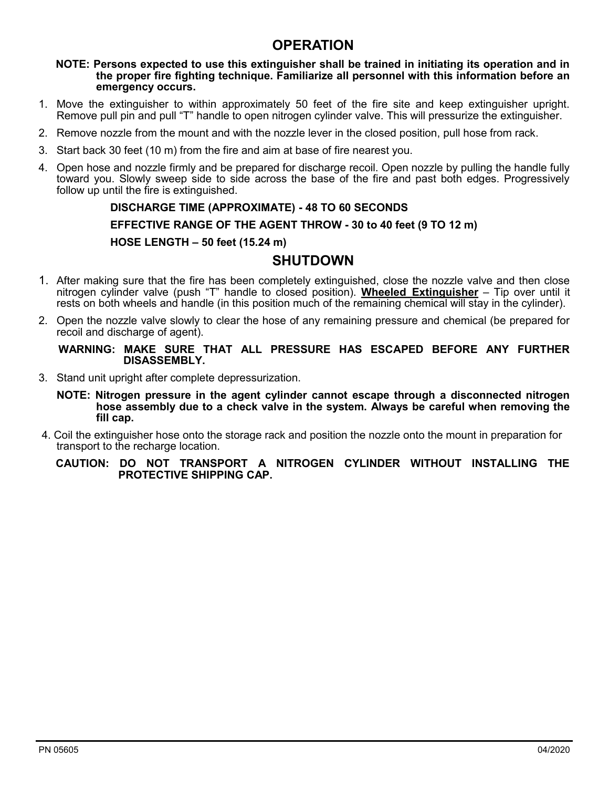## **OPERATION**

#### **NOTE: Persons expected to use this extinguisher shall be trained in initiating its operation and in the proper fire fighting technique. Familiarize all personnel with this information before an emergency occurs.**

- 1. Move the extinguisher to within approximately 50 feet of the fire site and keep extinguisher upright. Remove pull pin and pull "T" handle to open nitrogen cylinder valve. This will pressurize the extinguisher.
- 2. Remove nozzle from the mount and with the nozzle lever in the closed position, pull hose from rack.
- 3. Start back 30 feet (10 m) from the fire and aim at base of fire nearest you.
- 4. Open hose and nozzle firmly and be prepared for discharge recoil. Open nozzle by pulling the handle fully toward you. Slowly sweep side to side across the base of the fire and past both edges. Progressively follow up until the fire is extinguished.

#### **DISCHARGE TIME (APPROXIMATE) - 48 TO 60 SECONDS**

**EFFECTIVE RANGE OF THE AGENT THROW - 30 to 40 feet (9 TO 12 m)**

#### **HOSE LENGTH – 50 feet (15.24 m)**

## **SHUTDOWN**

- 1. After making sure that the fire has been completely extinguished, close the nozzle valve and then close nitrogen cylinder valve (push "T" handle to closed position). **Wheeled Extinguisher** – Tip over until it rests on both wheels and handle (in this position much of the remaining chemical will stay in the cylinder).
- 2. Open the nozzle valve slowly to clear the hose of any remaining pressure and chemical (be prepared for recoil and discharge of agent).

#### **WARNING: MAKE SURE THAT ALL PRESSURE HAS ESCAPED BEFORE ANY FURTHER DISASSEMBLY.**

- 3. Stand unit upright after complete depressurization.
	- **NOTE: Nitrogen pressure in the agent cylinder cannot escape through a disconnected nitrogen hose assembly due to a check valve in the system. Always be careful when removing the fill cap.**
- 4. Coil the extinguisher hose onto the storage rack and position the nozzle onto the mount in preparation for transport to the recharge location.

#### **CAUTION: DO NOT TRANSPORT A NITROGEN CYLINDER WITHOUT INSTALLING THE PROTECTIVE SHIPPING CAP.**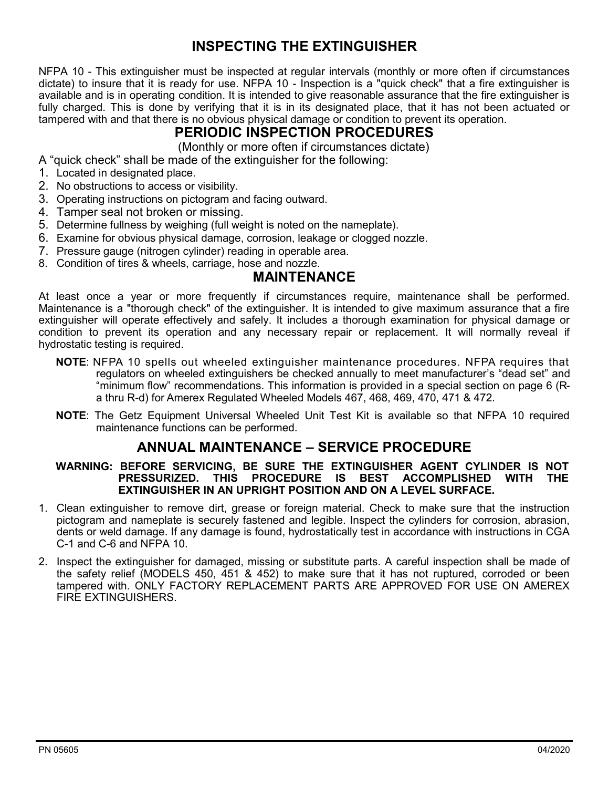## **INSPECTING THE EXTINGUISHER**

NFPA 10 - This extinguisher must be inspected at regular intervals (monthly or more often if circumstances dictate) to insure that it is ready for use. NFPA 10 - Inspection is a "quick check" that a fire extinguisher is available and is in operating condition. It is intended to give reasonable assurance that the fire extinguisher is fully charged. This is done by verifying that it is in its designated place, that it has not been actuated or tampered with and that there is no obvious physical damage or condition to prevent its operation.

# **PERIODIC INSPECTION PROCEDURES**

(Monthly or more often if circumstances dictate)

- A "quick check" shall be made of the extinguisher for the following:
- 1. Located in designated place.
- 2. No obstructions to access or visibility.
- 3. Operating instructions on pictogram and facing outward.
- 4. Tamper seal not broken or missing.
- 5. Determine fullness by weighing (full weight is noted on the nameplate).
- 6. Examine for obvious physical damage, corrosion, leakage or clogged nozzle.
- 7. Pressure gauge (nitrogen cylinder) reading in operable area.
- 8. Condition of tires & wheels, carriage, hose and nozzle.

#### **MAINTENANCE**

At least once a year or more frequently if circumstances require, maintenance shall be performed. Maintenance is a "thorough check" of the extinguisher. It is intended to give maximum assurance that a fire extinguisher will operate effectively and safely. It includes a thorough examination for physical damage or condition to prevent its operation and any necessary repair or replacement. It will normally reveal if hydrostatic testing is required.

- **NOTE**: NFPA 10 spells out wheeled extinguisher maintenance procedures. NFPA requires that regulators on wheeled extinguishers be checked annually to meet manufacturer's "dead set" and "minimum flow" recommendations. This information is provided in a special section on page 6 (Ra thru R-d) for Amerex Regulated Wheeled Models 467, 468, 469, 470, 471 & 472.
- **NOTE**: The Getz Equipment Universal Wheeled Unit Test Kit is available so that NFPA 10 required maintenance functions can be performed.

## **ANNUAL MAINTENANCE – SERVICE PROCEDURE**

#### **WARNING: BEFORE SERVICING, BE SURE THE EXTINGUISHER AGENT CYLINDER IS NOT PRESSURIZED. THIS PROCEDURE IS BEST ACCOMPLISHED WITH THE EXTINGUISHER IN AN UPRIGHT POSITION AND ON A LEVEL SURFACE.**

- 1. Clean extinguisher to remove dirt, grease or foreign material. Check to make sure that the instruction pictogram and nameplate is securely fastened and legible. Inspect the cylinders for corrosion, abrasion, dents or weld damage. If any damage is found, hydrostatically test in accordance with instructions in CGA C-1 and C-6 and NFPA 10.
- 2. Inspect the extinguisher for damaged, missing or substitute parts. A careful inspection shall be made of the safety relief (MODELS 450, 451 & 452) to make sure that it has not ruptured, corroded or been tampered with. ONLY FACTORY REPLACEMENT PARTS ARE APPROVED FOR USE ON AMEREX FIRE EXTINGUISHERS.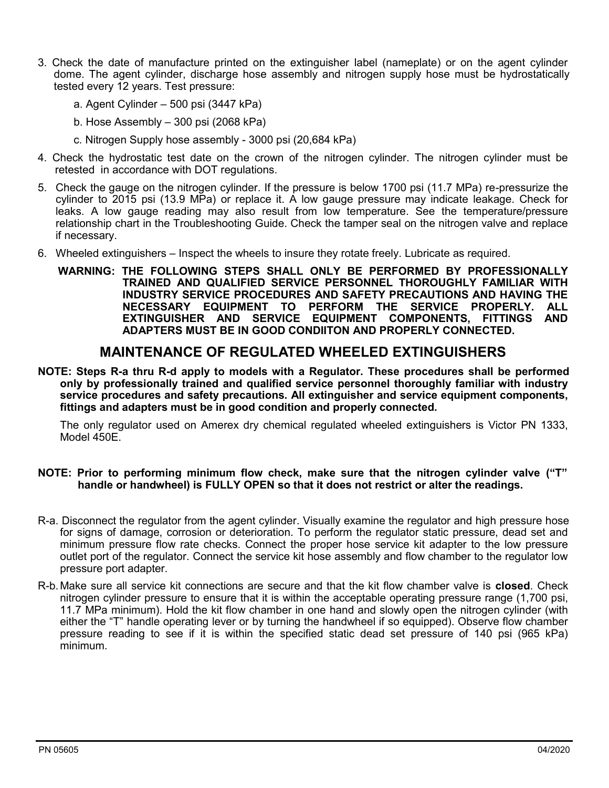- 3. Check the date of manufacture printed on the extinguisher label (nameplate) or on the agent cylinder dome. The agent cylinder, discharge hose assembly and nitrogen supply hose must be hydrostatically tested every 12 years. Test pressure:
	- a. Agent Cylinder 500 psi (3447 kPa)
	- b. Hose Assembly 300 psi (2068 kPa)
	- c. Nitrogen Supply hose assembly 3000 psi (20,684 kPa)
- 4. Check the hydrostatic test date on the crown of the nitrogen cylinder. The nitrogen cylinder must be retested in accordance with DOT regulations.
- 5. Check the gauge on the nitrogen cylinder. If the pressure is below 1700 psi (11.7 MPa) re-pressurize the cylinder to 2015 psi (13.9 MPa) or replace it. A low gauge pressure may indicate leakage. Check for leaks. A low gauge reading may also result from low temperature. See the temperature/pressure relationship chart in the Troubleshooting Guide. Check the tamper seal on the nitrogen valve and replace if necessary.
- 6. Wheeled extinguishers Inspect the wheels to insure they rotate freely. Lubricate as required.
	- **WARNING: THE FOLLOWING STEPS SHALL ONLY BE PERFORMED BY PROFESSIONALLY TRAINED AND QUALIFIED SERVICE PERSONNEL THOROUGHLY FAMILIAR WITH INDUSTRY SERVICE PROCEDURES AND SAFETY PRECAUTIONS AND HAVING THE NECESSARY EQUIPMENT TO PERFORM THE SERVICE PROPERLY. ALL EXTINGUISHER AND SERVICE EQUIPMENT COMPONENTS, FITTINGS AND ADAPTERS MUST BE IN GOOD CONDIITON AND PROPERLY CONNECTED.**

## **MAINTENANCE OF REGULATED WHEELED EXTINGUISHERS**

**NOTE: Steps R-a thru R-d apply to models with a Regulator. These procedures shall be performed only by professionally trained and qualified service personnel thoroughly familiar with industry service procedures and safety precautions. All extinguisher and service equipment components, fittings and adapters must be in good condition and properly connected.**

The only regulator used on Amerex dry chemical regulated wheeled extinguishers is Victor PN 1333, Model 450E.

#### **NOTE: Prior to performing minimum flow check, make sure that the nitrogen cylinder valve ("T" handle or handwheel) is FULLY OPEN so that it does not restrict or alter the readings.**

- R-a. Disconnect the regulator from the agent cylinder. Visually examine the regulator and high pressure hose for signs of damage, corrosion or deterioration. To perform the regulator static pressure, dead set and minimum pressure flow rate checks. Connect the proper hose service kit adapter to the low pressure outlet port of the regulator. Connect the service kit hose assembly and flow chamber to the regulator low pressure port adapter.
- R-b.Make sure all service kit connections are secure and that the kit flow chamber valve is **closed**. Check nitrogen cylinder pressure to ensure that it is within the acceptable operating pressure range (1,700 psi, 11.7 MPa minimum). Hold the kit flow chamber in one hand and slowly open the nitrogen cylinder (with either the "T" handle operating lever or by turning the handwheel if so equipped). Observe flow chamber pressure reading to see if it is within the specified static dead set pressure of 140 psi (965 kPa) minimum.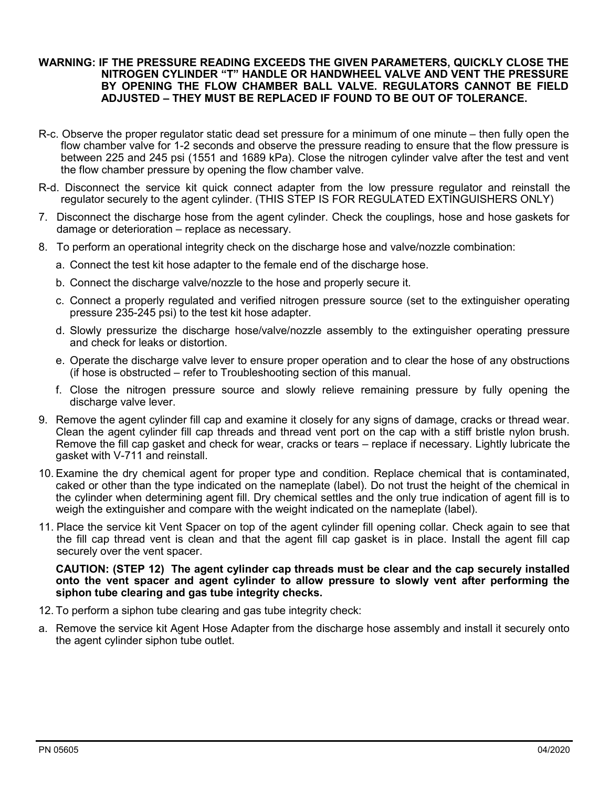#### **WARNING: IF THE PRESSURE READING EXCEEDS THE GIVEN PARAMETERS, QUICKLY CLOSE THE NITROGEN CYLINDER "T" HANDLE OR HANDWHEEL VALVE AND VENT THE PRESSURE BY OPENING THE FLOW CHAMBER BALL VALVE. REGULATORS CANNOT BE FIELD ADJUSTED – THEY MUST BE REPLACED IF FOUND TO BE OUT OF TOLERANCE.**

- R-c. Observe the proper regulator static dead set pressure for a minimum of one minute then fully open the flow chamber valve for 1-2 seconds and observe the pressure reading to ensure that the flow pressure is between 225 and 245 psi (1551 and 1689 kPa). Close the nitrogen cylinder valve after the test and vent the flow chamber pressure by opening the flow chamber valve.
- R-d. Disconnect the service kit quick connect adapter from the low pressure regulator and reinstall the regulator securely to the agent cylinder. (THIS STEP IS FOR REGULATED EXTINGUISHERS ONLY)
- 7. Disconnect the discharge hose from the agent cylinder. Check the couplings, hose and hose gaskets for damage or deterioration – replace as necessary.
- 8. To perform an operational integrity check on the discharge hose and valve/nozzle combination:
	- a. Connect the test kit hose adapter to the female end of the discharge hose.
	- b. Connect the discharge valve/nozzle to the hose and properly secure it.
	- c. Connect a properly regulated and verified nitrogen pressure source (set to the extinguisher operating pressure 235-245 psi) to the test kit hose adapter.
	- d. Slowly pressurize the discharge hose/valve/nozzle assembly to the extinguisher operating pressure and check for leaks or distortion.
	- e. Operate the discharge valve lever to ensure proper operation and to clear the hose of any obstructions (if hose is obstructed – refer to Troubleshooting section of this manual.
	- f. Close the nitrogen pressure source and slowly relieve remaining pressure by fully opening the discharge valve lever.
- 9. Remove the agent cylinder fill cap and examine it closely for any signs of damage, cracks or thread wear. Clean the agent cylinder fill cap threads and thread vent port on the cap with a stiff bristle nylon brush. Remove the fill cap gasket and check for wear, cracks or tears – replace if necessary. Lightly lubricate the gasket with V-711 and reinstall.
- 10. Examine the dry chemical agent for proper type and condition. Replace chemical that is contaminated, caked or other than the type indicated on the nameplate (label). Do not trust the height of the chemical in the cylinder when determining agent fill. Dry chemical settles and the only true indication of agent fill is to weigh the extinguisher and compare with the weight indicated on the nameplate (label).
- 11. Place the service kit Vent Spacer on top of the agent cylinder fill opening collar. Check again to see that the fill cap thread vent is clean and that the agent fill cap gasket is in place. Install the agent fill cap securely over the vent spacer.

**CAUTION: (STEP 12) The agent cylinder cap threads must be clear and the cap securely installed onto the vent spacer and agent cylinder to allow pressure to slowly vent after performing the siphon tube clearing and gas tube integrity checks.**

- 12. To perform a siphon tube clearing and gas tube integrity check:
- a. Remove the service kit Agent Hose Adapter from the discharge hose assembly and install it securely onto the agent cylinder siphon tube outlet.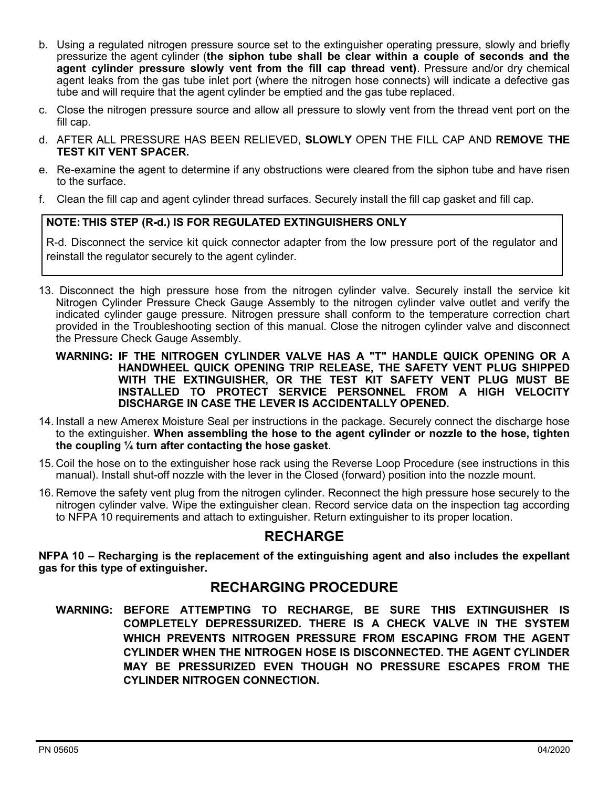- b. Using a regulated nitrogen pressure source set to the extinguisher operating pressure, slowly and briefly pressurize the agent cylinder (**the siphon tube shall be clear within a couple of seconds and the agent cylinder pressure slowly vent from the fill cap thread vent)**. Pressure and/or dry chemical agent leaks from the gas tube inlet port (where the nitrogen hose connects) will indicate a defective gas tube and will require that the agent cylinder be emptied and the gas tube replaced.
- c. Close the nitrogen pressure source and allow all pressure to slowly vent from the thread vent port on the fill cap.
- d. AFTER ALL PRESSURE HAS BEEN RELIEVED, **SLOWLY** OPEN THE FILL CAP AND **REMOVE THE TEST KIT VENT SPACER.**
- e. Re-examine the agent to determine if any obstructions were cleared from the siphon tube and have risen to the surface.
- f. Clean the fill cap and agent cylinder thread surfaces. Securely install the fill cap gasket and fill cap.

#### **NOTE: THIS STEP (R-d.) IS FOR REGULATED EXTINGUISHERS ONLY**

R-d. Disconnect the service kit quick connector adapter from the low pressure port of the regulator and reinstall the regulator securely to the agent cylinder.

- 13. Disconnect the high pressure hose from the nitrogen cylinder valve. Securely install the service kit Nitrogen Cylinder Pressure Check Gauge Assembly to the nitrogen cylinder valve outlet and verify the indicated cylinder gauge pressure. Nitrogen pressure shall conform to the temperature correction chart provided in the Troubleshooting section of this manual. Close the nitrogen cylinder valve and disconnect the Pressure Check Gauge Assembly.
	- **WARNING: IF THE NITROGEN CYLINDER VALVE HAS A "T" HANDLE QUICK OPENING OR A HANDWHEEL QUICK OPENING TRIP RELEASE, THE SAFETY VENT PLUG SHIPPED WITH THE EXTINGUISHER, OR THE TEST KIT SAFETY VENT PLUG MUST BE INSTALLED TO PROTECT SERVICE PERSONNEL FROM A HIGH VELOCITY DISCHARGE IN CASE THE LEVER IS ACCIDENTALLY OPENED.**
- 14. Install a new Amerex Moisture Seal per instructions in the package. Securely connect the discharge hose to the extinguisher. **When assembling the hose to the agent cylinder or nozzle to the hose, tighten the coupling ¼ turn after contacting the hose gasket**.
- 15. Coil the hose on to the extinguisher hose rack using the Reverse Loop Procedure (see instructions in this manual). Install shut-off nozzle with the lever in the Closed (forward) position into the nozzle mount.
- 16. Remove the safety vent plug from the nitrogen cylinder. Reconnect the high pressure hose securely to the nitrogen cylinder valve. Wipe the extinguisher clean. Record service data on the inspection tag according to NFPA 10 requirements and attach to extinguisher. Return extinguisher to its proper location.

### **RECHARGE**

**NFPA 10 – Recharging is the replacement of the extinguishing agent and also includes the expellant gas for this type of extinguisher.**

## **RECHARGING PROCEDURE**

**WARNING: BEFORE ATTEMPTING TO RECHARGE, BE SURE THIS EXTINGUISHER IS COMPLETELY DEPRESSURIZED. THERE IS A CHECK VALVE IN THE SYSTEM WHICH PREVENTS NITROGEN PRESSURE FROM ESCAPING FROM THE AGENT CYLINDER WHEN THE NITROGEN HOSE IS DISCONNECTED. THE AGENT CYLINDER MAY BE PRESSURIZED EVEN THOUGH NO PRESSURE ESCAPES FROM THE CYLINDER NITROGEN CONNECTION.**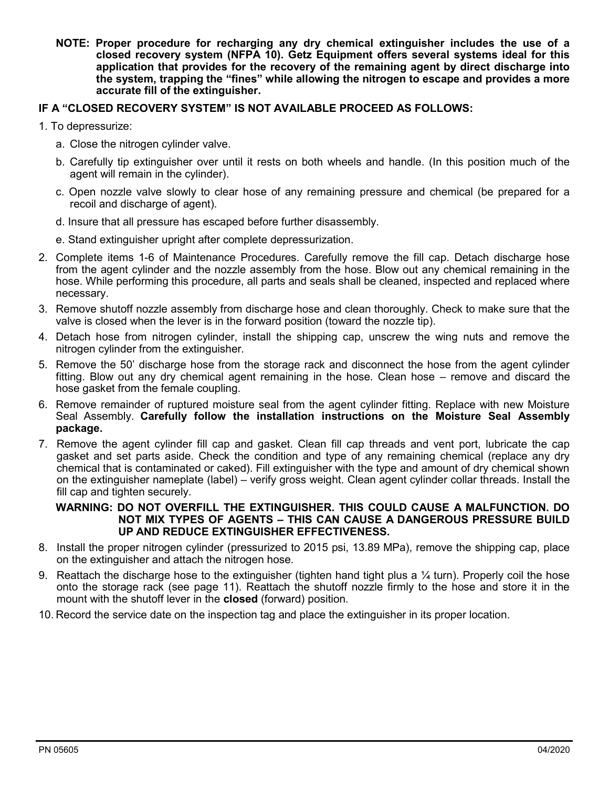**NOTE: Proper procedure for recharging any dry chemical extinguisher includes the use of a closed recovery system (NFPA 10). Getz Equipment offers several systems ideal for this application that provides for the recovery of the remaining agent by direct discharge into the system, trapping the "fines" while allowing the nitrogen to escape and provides a more accurate fill of the extinguisher.** 

#### **IF A "CLOSED RECOVERY SYSTEM" IS NOT AVAILABLE PROCEED AS FOLLOWS:**

- 1. To depressurize:
	- a. Close the nitrogen cylinder valve.
	- b. Carefully tip extinguisher over until it rests on both wheels and handle. (In this position much of the agent will remain in the cylinder).
	- c. Open nozzle valve slowly to clear hose of any remaining pressure and chemical (be prepared for a recoil and discharge of agent).
	- d. Insure that all pressure has escaped before further disassembly.
	- e. Stand extinguisher upright after complete depressurization.
- 2. Complete items 1-6 of Maintenance Procedures. Carefully remove the fill cap. Detach discharge hose from the agent cylinder and the nozzle assembly from the hose. Blow out any chemical remaining in the hose. While performing this procedure, all parts and seals shall be cleaned, inspected and replaced where necessary.
- 3. Remove shutoff nozzle assembly from discharge hose and clean thoroughly. Check to make sure that the valve is closed when the lever is in the forward position (toward the nozzle tip).
- 4. Detach hose from nitrogen cylinder, install the shipping cap, unscrew the wing nuts and remove the nitrogen cylinder from the extinguisher.
- 5. Remove the 50' discharge hose from the storage rack and disconnect the hose from the agent cylinder fitting. Blow out any dry chemical agent remaining in the hose. Clean hose – remove and discard the hose gasket from the female coupling.
- 6. Remove remainder of ruptured moisture seal from the agent cylinder fitting. Replace with new Moisture Seal Assembly. **Carefully follow the installation instructions on the Moisture Seal Assembly package.**
- 7. Remove the agent cylinder fill cap and gasket. Clean fill cap threads and vent port, lubricate the cap gasket and set parts aside. Check the condition and type of any remaining chemical (replace any dry chemical that is contaminated or caked). Fill extinguisher with the type and amount of dry chemical shown on the extinguisher nameplate (label) – verify gross weight. Clean agent cylinder collar threads. Install the fill cap and tighten securely.

#### **WARNING: DO NOT OVERFILL THE EXTINGUISHER. THIS COULD CAUSE A MALFUNCTION. DO NOT MIX TYPES OF AGENTS – THIS CAN CAUSE A DANGEROUS PRESSURE BUILD UP AND REDUCE EXTINGUISHER EFFECTIVENESS.**

- 8. Install the proper nitrogen cylinder (pressurized to 2015 psi, 13.89 MPa), remove the shipping cap, place on the extinguisher and attach the nitrogen hose.
- 9. Reattach the discharge hose to the extinguisher (tighten hand tight plus a  $\frac{1}{4}$  turn). Properly coil the hose onto the storage rack (see page 11). Reattach the shutoff nozzle firmly to the hose and store it in the mount with the shutoff lever in the **closed** (forward) position.
- 10. Record the service date on the inspection tag and place the extinguisher in its proper location.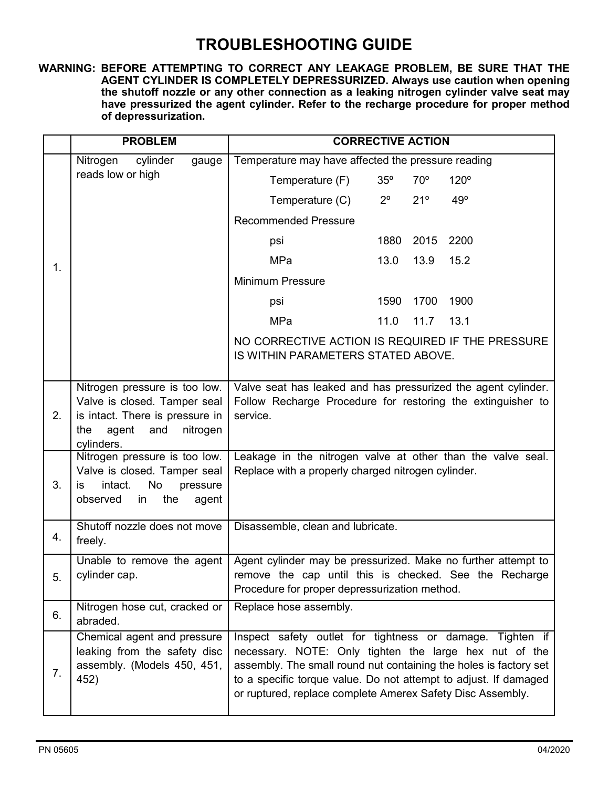# **TROUBLESHOOTING GUIDE**

**WARNING: BEFORE ATTEMPTING TO CORRECT ANY LEAKAGE PROBLEM, BE SURE THAT THE AGENT CYLINDER IS COMPLETELY DEPRESSURIZED. Always use caution when opening the shutoff nozzle or any other connection as a leaking nitrogen cylinder valve seat may have pressurized the agent cylinder. Refer to the recharge procedure for proper method of depressurization.**

|    | <b>PROBLEM</b>                                                                                                                                    | <b>CORRECTIVE ACTION</b>                                                                                                                                                                                                                                                                                                   |  |
|----|---------------------------------------------------------------------------------------------------------------------------------------------------|----------------------------------------------------------------------------------------------------------------------------------------------------------------------------------------------------------------------------------------------------------------------------------------------------------------------------|--|
|    | cylinder<br>Nitrogen<br>gauge                                                                                                                     | Temperature may have affected the pressure reading                                                                                                                                                                                                                                                                         |  |
|    | reads low or high                                                                                                                                 | $35^\circ$<br>$70^{\circ}$<br>120°<br>Temperature (F)                                                                                                                                                                                                                                                                      |  |
| 1. |                                                                                                                                                   | $2^{\circ}$<br>21°<br>49°<br>Temperature (C)                                                                                                                                                                                                                                                                               |  |
|    |                                                                                                                                                   | <b>Recommended Pressure</b>                                                                                                                                                                                                                                                                                                |  |
|    |                                                                                                                                                   | 1880<br>2015<br>2200<br>psi                                                                                                                                                                                                                                                                                                |  |
|    |                                                                                                                                                   | <b>MPa</b><br>13.0<br>13.9<br>15.2                                                                                                                                                                                                                                                                                         |  |
|    |                                                                                                                                                   | <b>Minimum Pressure</b>                                                                                                                                                                                                                                                                                                    |  |
|    |                                                                                                                                                   | 1590<br>1700<br>1900<br>psi                                                                                                                                                                                                                                                                                                |  |
|    |                                                                                                                                                   | MPa<br>11.0<br>11.7<br>13.1                                                                                                                                                                                                                                                                                                |  |
|    |                                                                                                                                                   | NO CORRECTIVE ACTION IS REQUIRED IF THE PRESSURE<br>IS WITHIN PARAMETERS STATED ABOVE.                                                                                                                                                                                                                                     |  |
| 2. | Nitrogen pressure is too low.<br>Valve is closed. Tamper seal<br>is intact. There is pressure in<br>nitrogen<br>the<br>agent<br>and<br>cylinders. | Valve seat has leaked and has pressurized the agent cylinder.<br>Follow Recharge Procedure for restoring the extinguisher to<br>service.                                                                                                                                                                                   |  |
| 3. | Nitrogen pressure is too low.<br>Valve is closed. Tamper seal<br>intact.<br>No<br>pressure<br>is<br>the<br>observed<br>in<br>agent                | Leakage in the nitrogen valve at other than the valve seal.<br>Replace with a properly charged nitrogen cylinder.                                                                                                                                                                                                          |  |
| 4. | Shutoff nozzle does not move<br>freely.                                                                                                           | Disassemble, clean and lubricate.                                                                                                                                                                                                                                                                                          |  |
| 5. | Unable to remove the agent<br>cylinder cap.                                                                                                       | Agent cylinder may be pressurized. Make no further attempt to<br>remove the cap until this is checked. See the Recharge<br>Procedure for proper depressurization method.                                                                                                                                                   |  |
| 6. | Nitrogen hose cut, cracked or<br>abraded.                                                                                                         | Replace hose assembly.                                                                                                                                                                                                                                                                                                     |  |
| 7. | Chemical agent and pressure<br>leaking from the safety disc<br>assembly. (Models 450, 451,<br>452)                                                | Inspect safety outlet for tightness or damage. Tighten if<br>necessary. NOTE: Only tighten the large hex nut of the<br>assembly. The small round nut containing the holes is factory set<br>to a specific torque value. Do not attempt to adjust. If damaged<br>or ruptured, replace complete Amerex Safety Disc Assembly. |  |